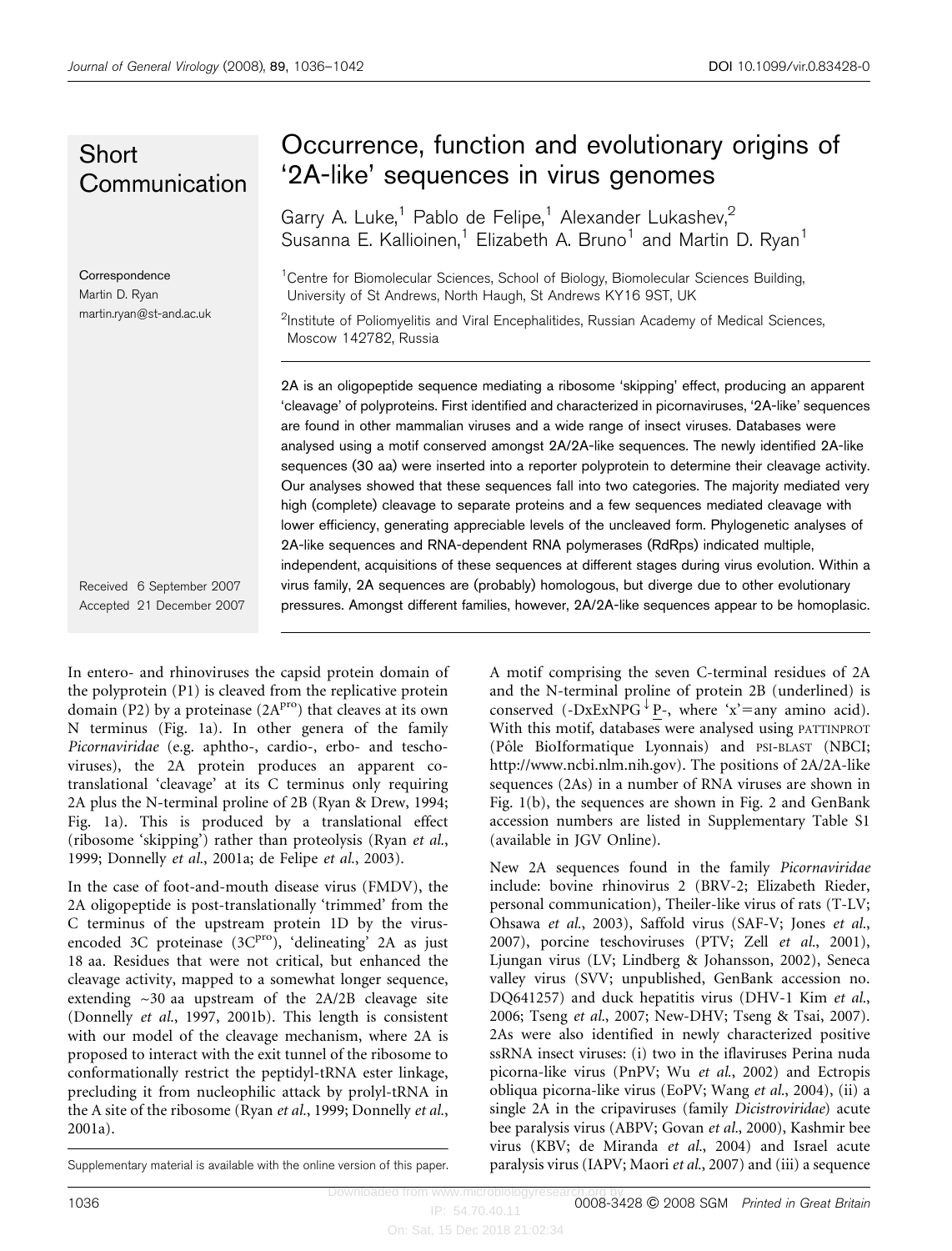## **Short Communication**

**Correspondence** Martin D. Ryan martin.ryan@st-and.ac.uk

## Occurrence, function and evolutionary origins of '2A-like' sequences in virus genomes

Garry A. Luke,<sup>1</sup> Pablo de Felipe,<sup>1</sup> Alexander Lukashev,<sup>2</sup> Susanna E. Kallioinen,<sup>1</sup> Elizabeth A. Bruno<sup>1</sup> and Martin D. Ryan<sup>1</sup>

<sup>1</sup> Centre for Biomolecular Sciences, School of Biology, Biomolecular Sciences Building University of St Andrews, North Haugh, St Andrews KY16 9ST, UK

<sup>2</sup>Institute of Poliomyelitis and Viral Encephalitides, Russian Academy of Medical Sciences, Moscow 142782, Russia

2A is an oligopeptide sequence mediating a ribosome 'skipping' effect, producing an apparent 'cleavage' of polyproteins. First identified and characterized in picornaviruses, '2A-like' sequences are found in other mammalian viruses and a wide range of insect viruses. Databases were analysed using a motif conserved amongst 2A/2A-like sequences. The newly identified 2A-like sequences (30 aa) were inserted into a reporter polyprotein to determine their cleavage activity. Our analyses showed that these sequences fall into two categories. The majority mediated very high (complete) cleavage to separate proteins and a few sequences mediated cleavage with lower efficiency, generating appreciable levels of the uncleaved form. Phylogenetic analyses of 2A-like sequences and RNA-dependent RNA polymerases (RdRps) indicated multiple, independent, acquisitions of these sequences at different stages during virus evolution. Within a virus family, 2A sequences are (probably) homologous, but diverge due to other evolutionary pressures. Amongst different families, however, 2A/2A-like sequences appear to be homoplasic.

Received 6 September 2007 Accepted 21 December 2007

In entero- and rhinoviruses the capsid protein domain of the polyprotein (P1) is cleaved from the replicative protein domain (P2) by a proteinase  $(2A<sup>pro</sup>)$  that cleaves at its own N terminus (Fig. 1a). In other genera of the family Picornaviridae (e.g. aphtho-, cardio-, erbo- and teschoviruses), the 2A protein produces an apparent cotranslational 'cleavage' at its C terminus only requiring 2A plus the N-terminal proline of 2B (Ryan & Drew, 1994; Fig. 1a). This is produced by a translational effect (ribosome 'skipping') rather than proteolysis (Ryan et al., 1999; Donnelly et al., 2001a; de Felipe et al., 2003).

In the case of foot-and-mouth disease virus (FMDV), the 2A oligopeptide is post-translationally 'trimmed' from the C terminus of the upstream protein 1D by the virusencoded 3C proteinase  $(3C<sup>pro</sup>)$ , 'delineating' 2A as just 18 aa. Residues that were not critical, but enhanced the cleavage activity, mapped to a somewhat longer sequence, extending ~30 aa upstream of the 2A/2B cleavage site (Donnelly et al., 1997, 2001b). This length is consistent with our model of the cleavage mechanism, where 2A is proposed to interact with the exit tunnel of the ribosome to conformationally restrict the peptidyl-tRNA ester linkage, precluding it from nucleophilic attack by prolyl-tRNA in the A site of the ribosome (Ryan et al., 1999; Donnelly et al., 2001a).

A motif comprising the seven C-terminal residues of 2A and the N-terminal proline of protein 2B (underlined) is conserved (-DxExNPG  $\overline{P}$ -, where 'x'=any amino acid). With this motif, databases were analysed using PATTINPROT (Pôle BioIformatique Lyonnais) and PSI-BLAST (NBCI; http://www.ncbi.nlm.nih.gov). The positions of 2A/2A-like sequences (2As) in a number of RNA viruses are shown in Fig. 1(b), the sequences are shown in Fig. 2 and GenBank accession numbers are listed in Supplementary Table S1 (available in JGV Online).

New 2A sequences found in the family Picornaviridae include: bovine rhinovirus 2 (BRV-2; Elizabeth Rieder, personal communication), Theiler-like virus of rats (T-LV; Ohsawa et al., 2003), Saffold virus (SAF-V; Jones et al., 2007), porcine teschoviruses (PTV; Zell et al., 2001), Ljungan virus (LV; Lindberg & Johansson, 2002), Seneca valley virus (SVV; unpublished, GenBank accession no. DQ641257) and duck hepatitis virus (DHV-1 Kim et al., 2006; Tseng et al., 2007; New-DHV; Tseng & Tsai, 2007). 2As were also identified in newly characterized positive ssRNA insect viruses: (i) two in the iflaviruses Perina nuda picorna-like virus (PnPV; Wu et al., 2002) and Ectropis obliqua picorna-like virus (EoPV; Wang et al., 2004), (ii) a single 2A in the cripaviruses (family Dicistroviridae) acute bee paralysis virus (ABPV; Govan et al., 2000), Kashmir bee virus (KBV; de Miranda et al., 2004) and Israel acute Supplementary material is available with the online version of this paper. paralysis virus (IAPV; Maori et al., 2007) and (iii) a sequence

IP: 54.70.40.11 On: Sat, 15 Dec 2018 21:02:34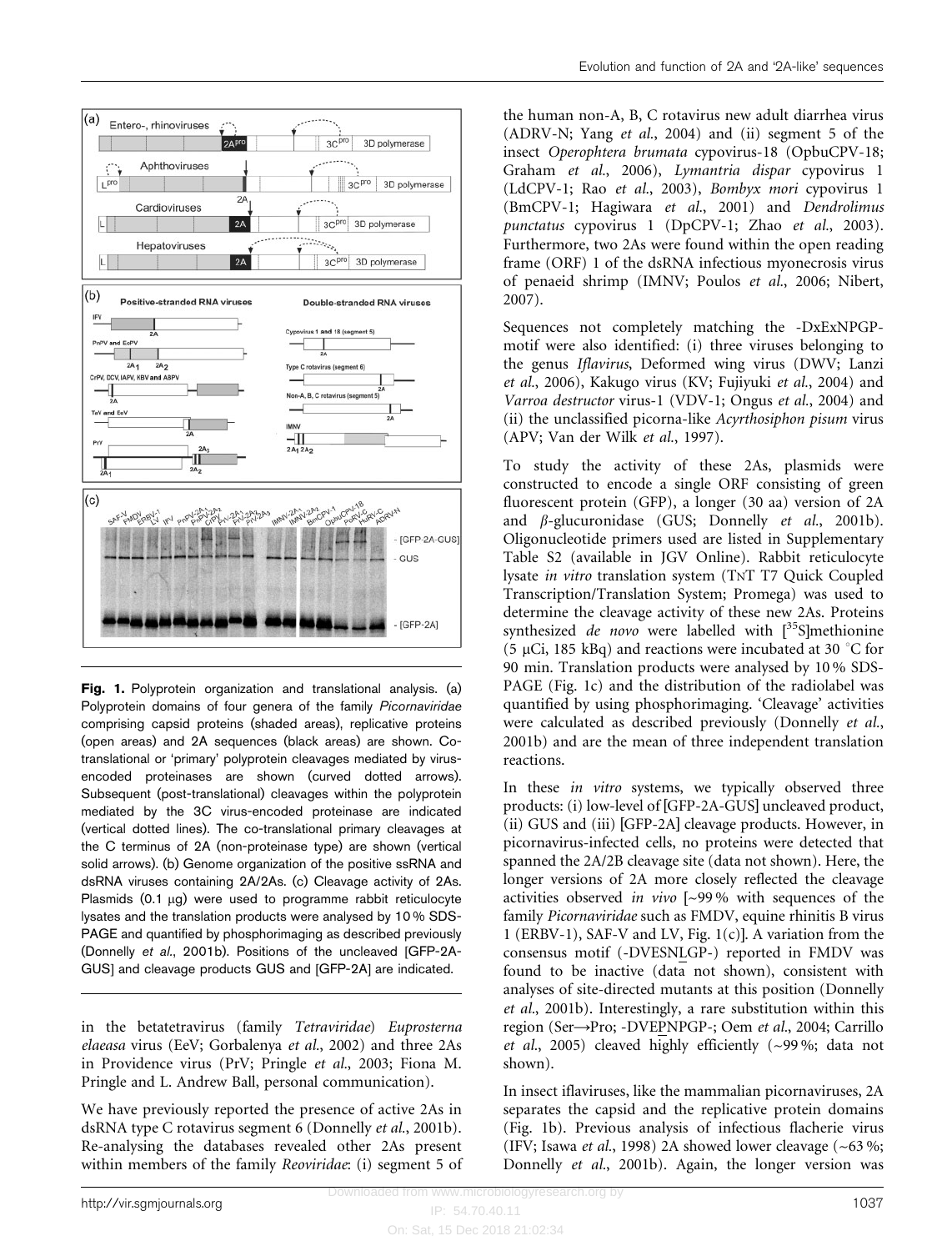

Fig. 1. Polyprotein organization and translational analysis. (a) Polyprotein domains of four genera of the family Picornaviridae comprising capsid proteins (shaded areas), replicative proteins (open areas) and 2A sequences (black areas) are shown. Cotranslational or 'primary' polyprotein cleavages mediated by virusencoded proteinases are shown (curved dotted arrows). Subsequent (post-translational) cleavages within the polyprotein mediated by the 3C virus-encoded proteinase are indicated (vertical dotted lines). The co-translational primary cleavages at the C terminus of 2A (non-proteinase type) are shown (vertical solid arrows). (b) Genome organization of the positive ssRNA and dsRNA viruses containing 2A/2As. (c) Cleavage activity of 2As. Plasmids  $(0.1 \mu g)$  were used to programme rabbit reticulocyte lysates and the translation products were analysed by 10 % SDS-PAGE and quantified by phosphorimaging as described previously (Donnelly et al., 2001b). Positions of the uncleaved [GFP-2A-GUS] and cleavage products GUS and [GFP-2A] are indicated.

in the betatetravirus (family Tetraviridae) Euprosterna elaeasa virus (EeV; Gorbalenya et al., 2002) and three 2As in Providence virus (PrV; Pringle et al., 2003; Fiona M. Pringle and L. Andrew Ball, personal communication).

We have previously reported the presence of active 2As in dsRNA type C rotavirus segment 6 (Donnelly et al., 2001b). Re-analysing the databases revealed other 2As present within members of the family Reoviridae: (i) segment 5 of the human non-A, B, C rotavirus new adult diarrhea virus (ADRV-N; Yang et al., 2004) and (ii) segment 5 of the insect Operophtera brumata cypovirus-18 (OpbuCPV-18; Graham et al., 2006), Lymantria dispar cypovirus 1 (LdCPV-1; Rao et al., 2003), Bombyx mori cypovirus 1 (BmCPV-1; Hagiwara et al., 2001) and Dendrolimus punctatus cypovirus 1 (DpCPV-1; Zhao et al., 2003). Furthermore, two 2As were found within the open reading frame (ORF) 1 of the dsRNA infectious myonecrosis virus of penaeid shrimp (IMNV; Poulos et al., 2006; Nibert, 2007).

Sequences not completely matching the -DxExNPGPmotif were also identified: (i) three viruses belonging to the genus Iflavirus, Deformed wing virus (DWV; Lanzi et al., 2006), Kakugo virus (KV; Fujiyuki et al., 2004) and Varroa destructor virus-1 (VDV-1; Ongus et al., 2004) and (ii) the unclassified picorna-like Acyrthosiphon pisum virus (APV; Van der Wilk et al., 1997).

To study the activity of these 2As, plasmids were constructed to encode a single ORF consisting of green fluorescent protein (GFP), a longer (30 aa) version of 2A and  $\beta$ -glucuronidase (GUS; Donnelly *et al.*, 2001b). Oligonucleotide primers used are listed in Supplementary Table S2 (available in JGV Online). Rabbit reticulocyte lysate in vitro translation system (TNT T7 Quick Coupled Transcription/Translation System; Promega) was used to determine the cleavage activity of these new 2As. Proteins synthesized de novo were labelled with  $[^{35}S]$ methionine (5  $\mu$ Ci, 185 kBq) and reactions were incubated at 30  $\degree$ C for 90 min. Translation products were analysed by 10 % SDS-PAGE (Fig. 1c) and the distribution of the radiolabel was quantified by using phosphorimaging. 'Cleavage' activities were calculated as described previously (Donnelly et al., 2001b) and are the mean of three independent translation reactions.

In these *in vitro* systems, we typically observed three products: (i) low-level of [GFP-2A-GUS] uncleaved product, (ii) GUS and (iii) [GFP-2A] cleavage products. However, in picornavirus-infected cells, no proteins were detected that spanned the 2A/2B cleavage site (data not shown). Here, the longer versions of 2A more closely reflected the cleavage activities observed in vivo [~99 % with sequences of the family Picornaviridae such as FMDV, equine rhinitis B virus 1 (ERBV-1), SAF-V and LV, Fig. 1(c)]. A variation from the consensus motif (-DVESNLGP-) reported in FMDV was found to be inactive (data not shown), consistent with analyses of site-directed mutants at this position (Donnelly et al., 2001b). Interestingly, a rare substitution within this region (Ser→Pro; -DVEPNPGP-; Oem et al., 2004; Carrillo et al., 2005) cleaved highly efficiently  $({\sim}99\%;$  data not shown).

In insect iflaviruses, like the mammalian picornaviruses, 2A separates the capsid and the replicative protein domains (Fig. 1b). Previous analysis of infectious flacherie virus (IFV; Isawa et al., 1998) 2A showed lower cleavage (~63 %; Donnelly et al., 2001b). Again, the longer version was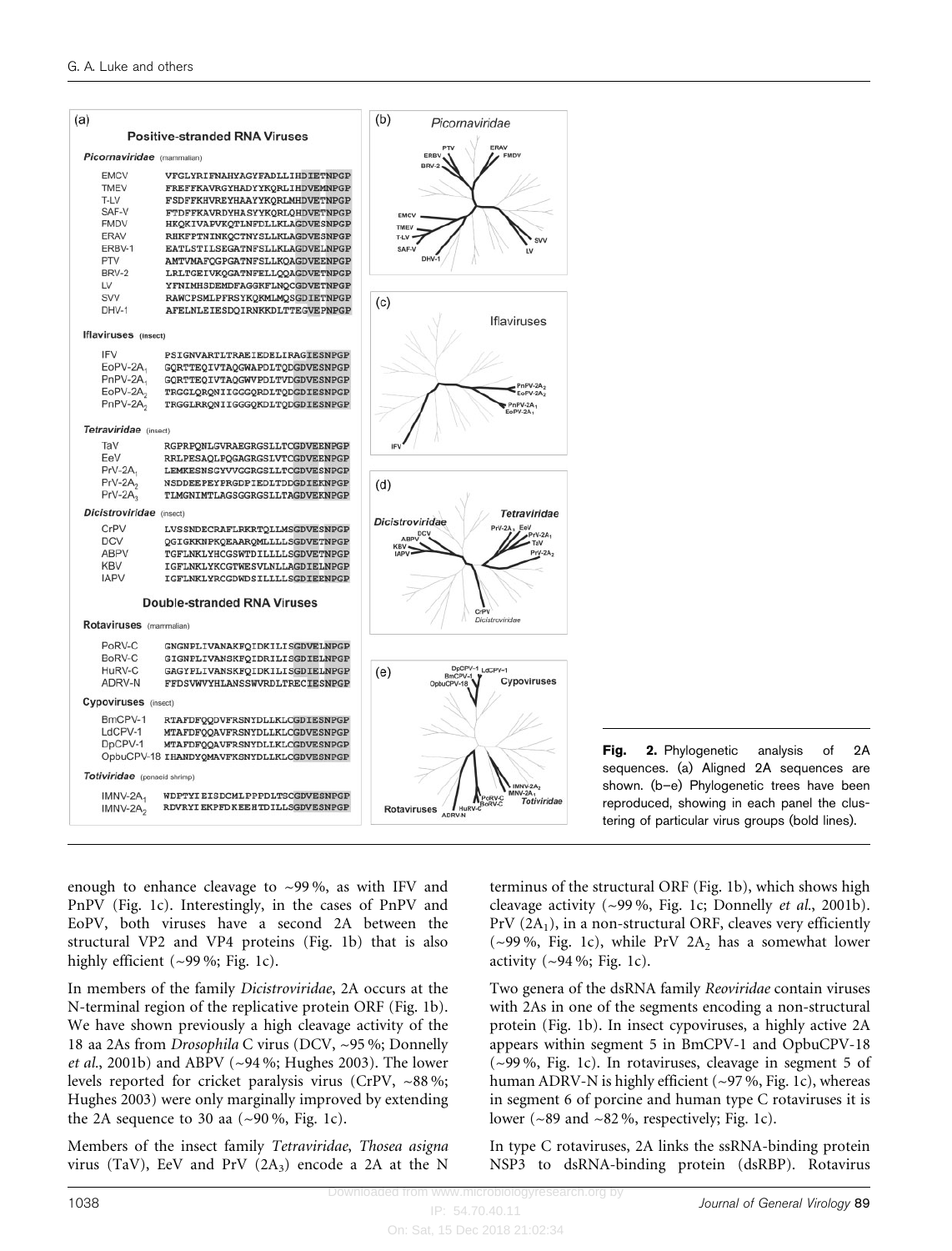

Fig. 2. Phylogenetic analysis of 2A sequences. (a) Aligned 2A sequences are shown. (b–e) Phylogenetic trees have been reproduced, showing in each panel the clustering of particular virus groups (bold lines).

enough to enhance cleavage to ~99 %, as with IFV and PnPV (Fig. 1c). Interestingly, in the cases of PnPV and EoPV, both viruses have a second 2A between the structural VP2 and VP4 proteins (Fig. 1b) that is also highly efficient (~99%; Fig. 1c).

In members of the family Dicistroviridae, 2A occurs at the N-terminal region of the replicative protein ORF (Fig. 1b). We have shown previously a high cleavage activity of the 18 aa 2As from Drosophila C virus (DCV, ~95 %; Donnelly *et al.*, 2001b) and ABPV ( $\sim$ 94%; Hughes 2003). The lower levels reported for cricket paralysis virus (CrPV, ~88 %; Hughes 2003) were only marginally improved by extending the 2A sequence to 30 aa  $(\sim 90\%$ , Fig. 1c).

Members of the insect family Tetraviridae, Thosea asigna virus (TaV), EeV and PrV  $(2A_3)$  encode a 2A at the N

terminus of the structural ORF (Fig. 1b), which shows high cleavage activity (~99 %, Fig. 1c; Donnelly et al., 2001b).  $PrV(2A_1)$ , in a non-structural ORF, cleaves very efficiently (~99%, Fig. 1c), while PrV  $2A_2$  has a somewhat lower activity  $(-94\%; Fig. 1c)$ .

Two genera of the dsRNA family Reoviridae contain viruses with 2As in one of the segments encoding a non-structural protein (Fig. 1b). In insect cypoviruses, a highly active 2A appears within segment 5 in BmCPV-1 and OpbuCPV-18 (~99 %, Fig. 1c). In rotaviruses, cleavage in segment 5 of human ADRV-N is highly efficient (~97 %, Fig. 1c), whereas in segment 6 of porcine and human type C rotaviruses it is lower ( $\sim$ 89 and  $\sim$ 82%, respectively; Fig. 1c).

In type C rotaviruses, 2A links the ssRNA-binding protein NSP3 to dsRNA-binding protein (dsRBP). Rotavirus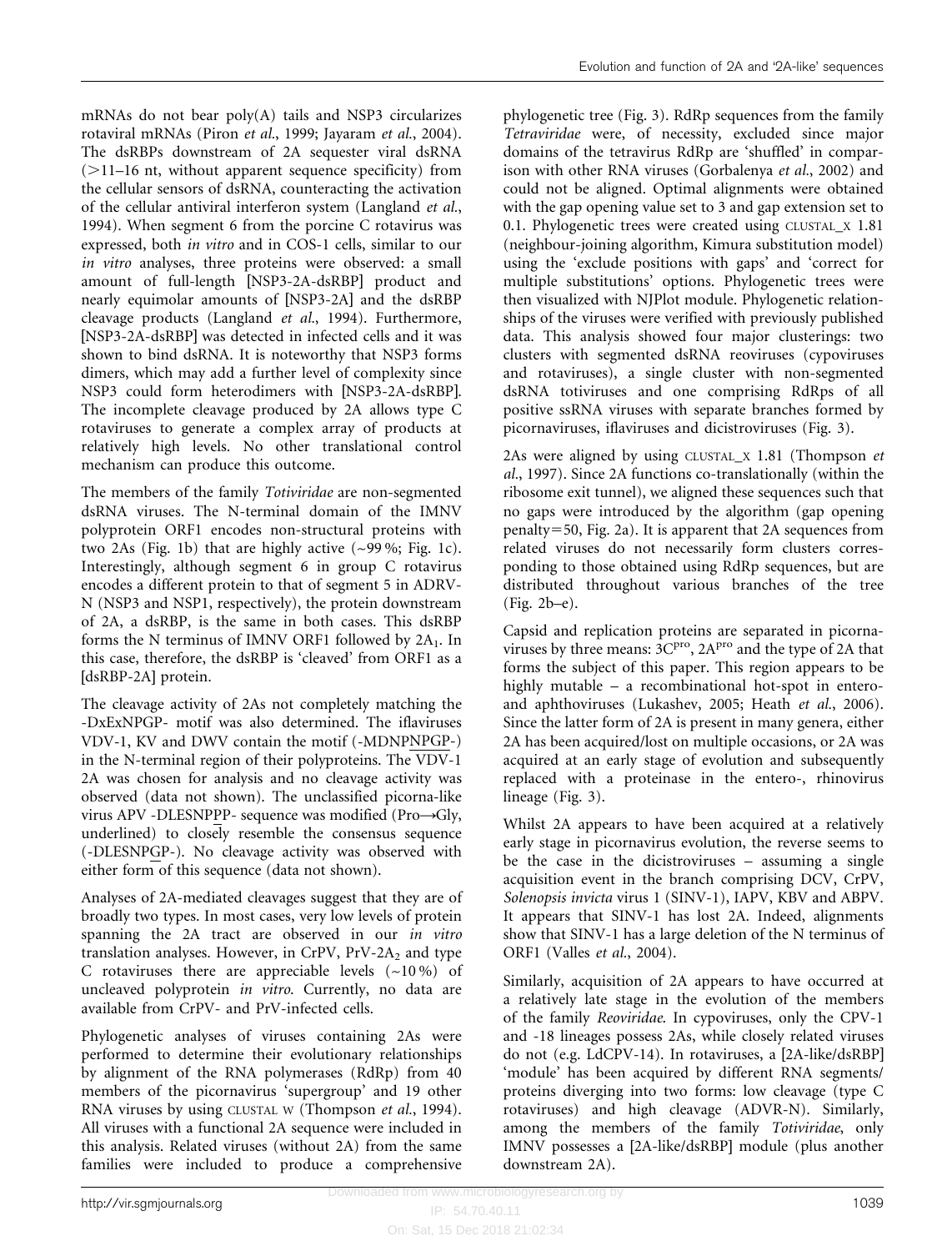mRNAs do not bear poly(A) tails and NSP3 circularizes rotaviral mRNAs (Piron et al., 1999; Jayaram et al., 2004). The dsRBPs downstream of 2A sequester viral dsRNA  $(>11-16$  nt, without apparent sequence specificity) from the cellular sensors of dsRNA, counteracting the activation of the cellular antiviral interferon system (Langland et al., 1994). When segment 6 from the porcine C rotavirus was expressed, both in vitro and in COS-1 cells, similar to our in vitro analyses, three proteins were observed: a small amount of full-length [NSP3-2A-dsRBP] product and nearly equimolar amounts of [NSP3-2A] and the dsRBP cleavage products (Langland et al., 1994). Furthermore, [NSP3-2A-dsRBP] was detected in infected cells and it was shown to bind dsRNA. It is noteworthy that NSP3 forms dimers, which may add a further level of complexity since NSP3 could form heterodimers with [NSP3-2A-dsRBP]. The incomplete cleavage produced by 2A allows type C rotaviruses to generate a complex array of products at relatively high levels. No other translational control mechanism can produce this outcome.

The members of the family Totiviridae are non-segmented dsRNA viruses. The N-terminal domain of the IMNV polyprotein ORF1 encodes non-structural proteins with two 2As (Fig. 1b) that are highly active  $(\sim 99\%;$  Fig. 1c). Interestingly, although segment 6 in group C rotavirus encodes a different protein to that of segment 5 in ADRV-N (NSP3 and NSP1, respectively), the protein downstream of 2A, a dsRBP, is the same in both cases. This dsRBP forms the N terminus of IMNV ORF1 followed by  $2A_1$ . In this case, therefore, the dsRBP is 'cleaved' from ORF1 as a [dsRBP-2A] protein.

The cleavage activity of 2As not completely matching the -DxExNPGP- motif was also determined. The iflaviruses VDV-1, KV and DWV contain the motif (-MDNPNPGP-) in the N-terminal region of their polyproteins. The VDV-1 2A was chosen for analysis and no cleavage activity was observed (data not shown). The unclassified picorna-like virus APV -DLESNPPP- sequence was modified (Pro $\rightarrow$ Gly, underlined) to closely resemble the consensus sequence (-DLESNPGP-). No cleavage activity was observed with either form of this sequence (data not shown).

Analyses of 2A-mediated cleavages suggest that they are of broadly two types. In most cases, very low levels of protein spanning the 2A tract are observed in our in vitro translation analyses. However, in CrPV,  $PrV-2A_2$  and type C rotaviruses there are appreciable levels  $(-10\%)$  of uncleaved polyprotein in vitro. Currently, no data are available from CrPV- and PrV-infected cells.

Phylogenetic analyses of viruses containing 2As were performed to determine their evolutionary relationships by alignment of the RNA polymerases (RdRp) from 40 members of the picornavirus 'supergroup' and 19 other RNA viruses by using CLUSTAL W (Thompson et al., 1994). All viruses with a functional 2A sequence were included in this analysis. Related viruses (without 2A) from the same families were included to produce a comprehensive

phylogenetic tree (Fig. 3). RdRp sequences from the family Tetraviridae were, of necessity, excluded since major domains of the tetravirus RdRp are 'shuffled' in comparison with other RNA viruses (Gorbalenya et al., 2002) and could not be aligned. Optimal alignments were obtained with the gap opening value set to 3 and gap extension set to 0.1. Phylogenetic trees were created using CLUSTAL\_X 1.81 (neighbour-joining algorithm, Kimura substitution model) using the 'exclude positions with gaps' and 'correct for multiple substitutions' options. Phylogenetic trees were then visualized with NJPlot module. Phylogenetic relationships of the viruses were verified with previously published data. This analysis showed four major clusterings: two clusters with segmented dsRNA reoviruses (cypoviruses and rotaviruses), a single cluster with non-segmented dsRNA totiviruses and one comprising RdRps of all positive ssRNA viruses with separate branches formed by picornaviruses, iflaviruses and dicistroviruses (Fig. 3).

2As were aligned by using CLUSTAL\_X 1.81 (Thompson et al., 1997). Since 2A functions co-translationally (within the ribosome exit tunnel), we aligned these sequences such that no gaps were introduced by the algorithm (gap opening  $penalty = 50$ , Fig. 2a). It is apparent that 2A sequences from related viruses do not necessarily form clusters corresponding to those obtained using RdRp sequences, but are distributed throughout various branches of the tree (Fig. 2b–e).

Capsid and replication proteins are separated in picornaviruses by three means:  $3C<sup>pro</sup>$ ,  $2A<sup>pro</sup>$  and the type of 2A that forms the subject of this paper. This region appears to be highly mutable – a recombinational hot-spot in enteroand aphthoviruses (Lukashev, 2005; Heath et al., 2006). Since the latter form of 2A is present in many genera, either 2A has been acquired/lost on multiple occasions, or 2A was acquired at an early stage of evolution and subsequently replaced with a proteinase in the entero-, rhinovirus lineage (Fig. 3).

Whilst 2A appears to have been acquired at a relatively early stage in picornavirus evolution, the reverse seems to be the case in the dicistroviruses – assuming a single acquisition event in the branch comprising DCV, CrPV, Solenopsis invicta virus 1 (SINV-1), IAPV, KBV and ABPV. It appears that SINV-1 has lost 2A. Indeed, alignments show that SINV-1 has a large deletion of the N terminus of ORF1 (Valles et al., 2004).

Similarly, acquisition of 2A appears to have occurred at a relatively late stage in the evolution of the members of the family Reoviridae. In cypoviruses, only the CPV-1 and -18 lineages possess 2As, while closely related viruses do not (e.g. LdCPV-14). In rotaviruses, a [2A-like/dsRBP] 'module' has been acquired by different RNA segments/ proteins diverging into two forms: low cleavage (type C rotaviruses) and high cleavage (ADVR-N). Similarly, among the members of the family Totiviridae, only IMNV possesses a [2A-like/dsRBP] module (plus another downstream 2A).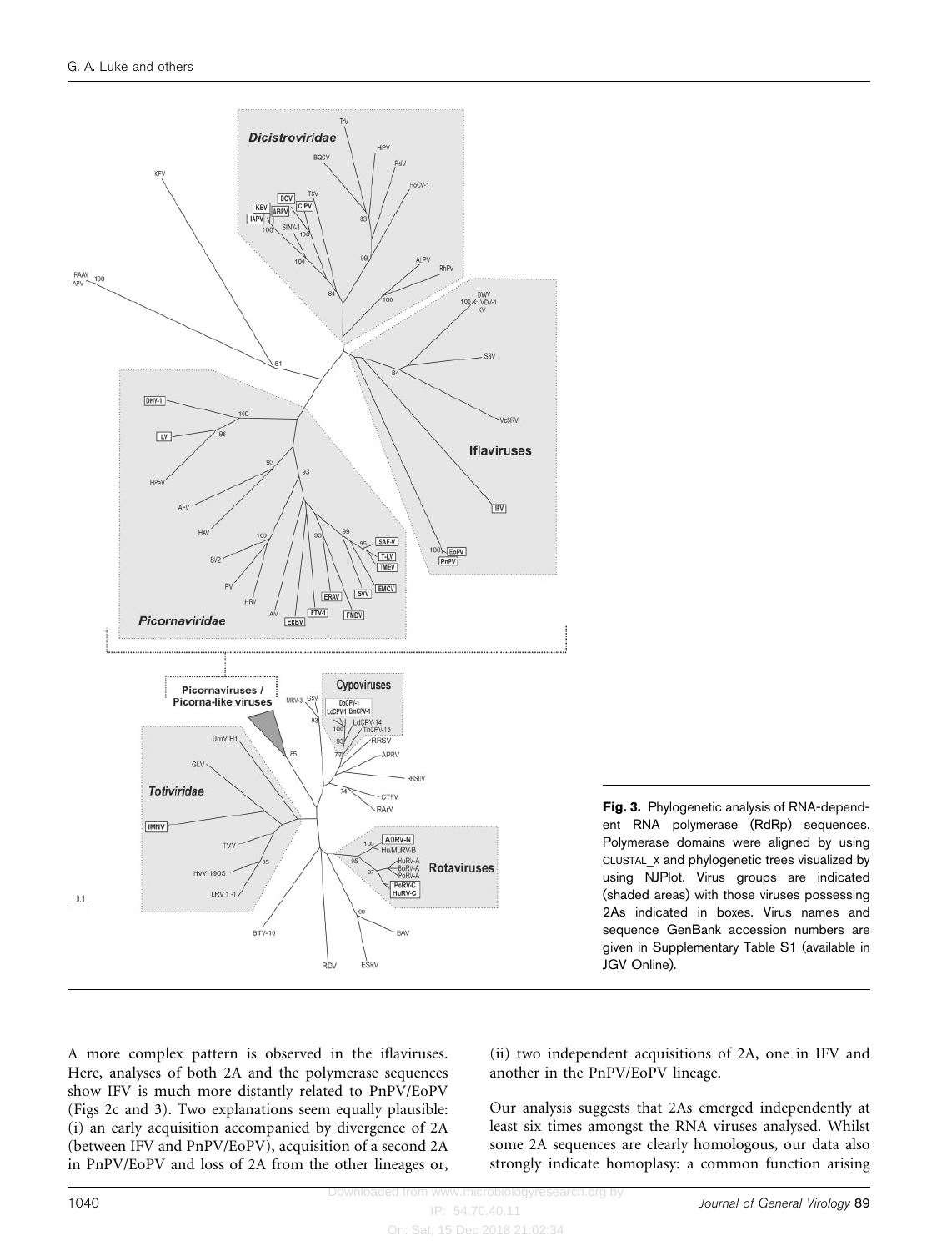

Fig. 3. Phylogenetic analysis of RNA-dependent RNA polymerase (RdRp) sequences. Polymerase domains were aligned by using CLUSTAL\_X and phylogenetic trees visualized by using NJPlot. Virus groups are indicated (shaded areas) with those viruses possessing 2As indicated in boxes. Virus names and sequence GenBank accession numbers are given in Supplementary Table S1 (available in JGV Online).

A more complex pattern is observed in the iflaviruses. Here, analyses of both 2A and the polymerase sequences show IFV is much more distantly related to PnPV/EoPV (Figs 2c and 3). Two explanations seem equally plausible: (i) an early acquisition accompanied by divergence of 2A (between IFV and PnPV/EoPV), acquisition of a second 2A in PnPV/EoPV and loss of 2A from the other lineages or,

(ii) two independent acquisitions of 2A, one in IFV and another in the PnPV/EoPV lineage.

Our analysis suggests that 2As emerged independently at least six times amongst the RNA viruses analysed. Whilst some 2A sequences are clearly homologous, our data also strongly indicate homoplasy: a common function arising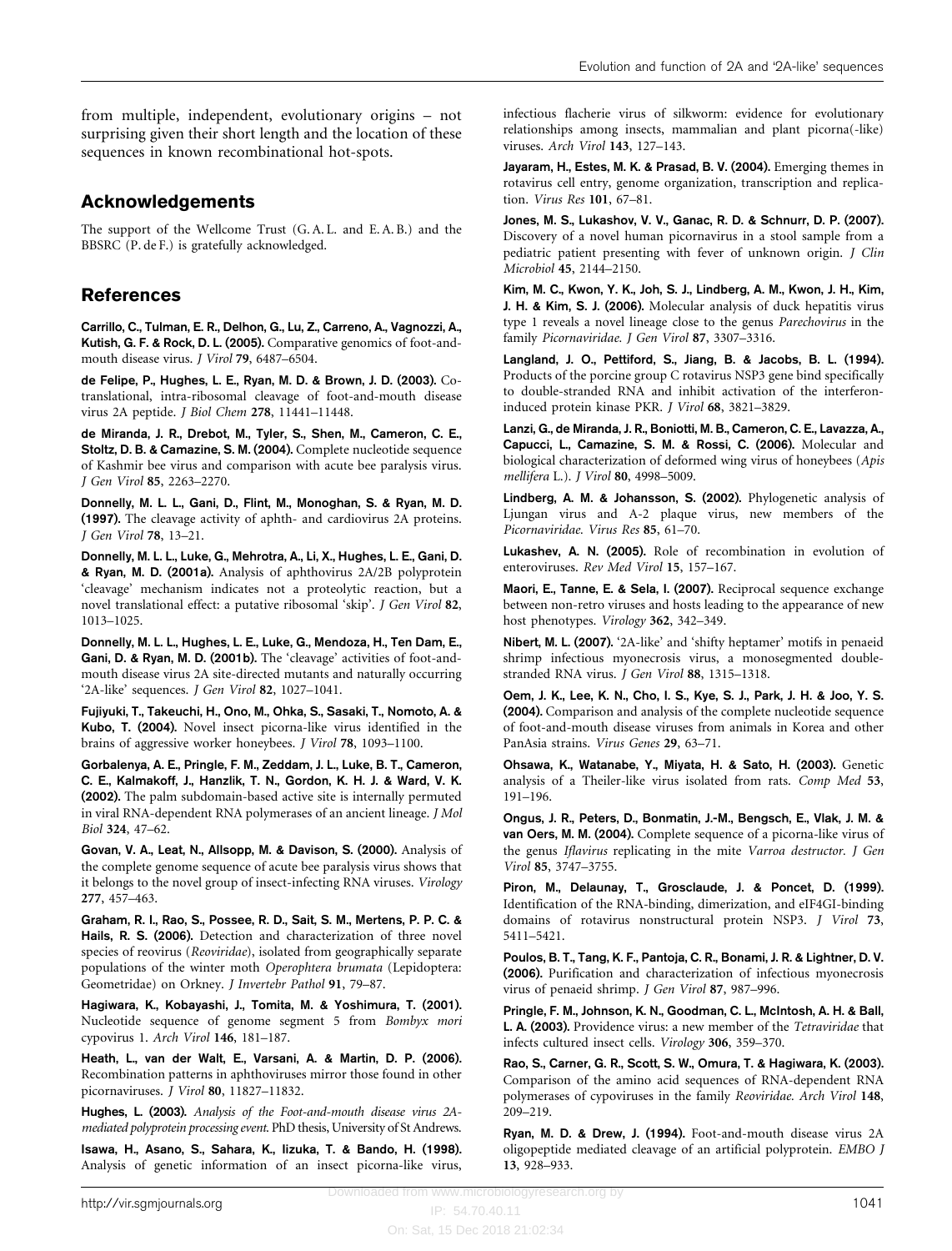from multiple, independent, evolutionary origins – not surprising given their short length and the location of these sequences in known recombinational hot-spots.

## Acknowledgements

The support of the Wellcome Trust (G. A. L. and E. A. B.) and the BBSRC (P. de F.) is gratefully acknowledged.

## References

Carrillo, C., Tulman, E. R., Delhon, G., Lu, Z., Carreno, A., Vagnozzi, A., Kutish, G. F. & Rock, D. L. (2005). Comparative genomics of foot-andmouth disease virus. J Virol 79, 6487–6504.

de Felipe, P., Hughes, L. E., Ryan, M. D. & Brown, J. D. (2003). Cotranslational, intra-ribosomal cleavage of foot-and-mouth disease virus 2A peptide. J Biol Chem 278, 11441–11448.

de Miranda, J. R., Drebot, M., Tyler, S., Shen, M., Cameron, C. E., Stoltz, D. B. & Camazine, S. M. (2004). Complete nucleotide sequence of Kashmir bee virus and comparison with acute bee paralysis virus. J Gen Virol 85, 2263–2270.

Donnelly, M. L. L., Gani, D., Flint, M., Monoghan, S. & Ryan, M. D. (1997). The cleavage activity of aphth- and cardiovirus 2A proteins. J Gen Virol 78, 13–21.

Donnelly, M. L. L., Luke, G., Mehrotra, A., Li, X., Hughes, L. E., Gani, D. & Ryan, M. D. (2001a). Analysis of aphthovirus 2A/2B polyprotein 'cleavage' mechanism indicates not a proteolytic reaction, but a novel translational effect: a putative ribosomal 'skip'. J Gen Virol 82, 1013–1025.

Donnelly, M. L. L., Hughes, L. E., Luke, G., Mendoza, H., Ten Dam, E., Gani, D. & Ryan, M. D. (2001b). The 'cleavage' activities of foot-andmouth disease virus 2A site-directed mutants and naturally occurring '2A-like' sequences. J Gen Virol 82, 1027–1041.

Fujiyuki, T., Takeuchi, H., Ono, M., Ohka, S., Sasaki, T., Nomoto, A. & Kubo, T. (2004). Novel insect picorna-like virus identified in the brains of aggressive worker honeybees. J Virol 78, 1093–1100.

Gorbalenya, A. E., Pringle, F. M., Zeddam, J. L., Luke, B. T., Cameron, C. E., Kalmakoff, J., Hanzlik, T. N., Gordon, K. H. J. & Ward, V. K. (2002). The palm subdomain-based active site is internally permuted in viral RNA-dependent RNA polymerases of an ancient lineage. J Mol Biol 324, 47–62.

Govan, V. A., Leat, N., Allsopp, M. & Davison, S. (2000). Analysis of the complete genome sequence of acute bee paralysis virus shows that it belongs to the novel group of insect-infecting RNA viruses. Virology 277, 457–463.

Graham, R. I., Rao, S., Possee, R. D., Sait, S. M., Mertens, P. P. C. & Hails, R. S. (2006). Detection and characterization of three novel species of reovirus (Reoviridae), isolated from geographically separate populations of the winter moth Operophtera brumata (Lepidoptera: Geometridae) on Orkney. J Invertebr Pathol 91, 79–87.

Hagiwara, K., Kobayashi, J., Tomita, M. & Yoshimura, T. (2001). Nucleotide sequence of genome segment 5 from Bombyx mori cypovirus 1. Arch Virol 146, 181–187.

Heath, L., van der Walt, E., Varsani, A. & Martin, D. P. (2006). Recombination patterns in aphthoviruses mirror those found in other picornaviruses. J Virol 80, 11827–11832.

Hughes, L. (2003). Analysis of the Foot-and-mouth disease virus 2Amediated polyprotein processing event. PhD thesis, University of St Andrews.

Isawa, H., Asano, S., Sahara, K., Iizuka, T. & Bando, H. (1998). Analysis of genetic information of an insect picorna-like virus, infectious flacherie virus of silkworm: evidence for evolutionary relationships among insects, mammalian and plant picorna(-like) viruses. Arch Virol 143, 127–143.

Jayaram, H., Estes, M. K. & Prasad, B. V. (2004). Emerging themes in rotavirus cell entry, genome organization, transcription and replication. Virus Res 101, 67–81.

Jones, M. S., Lukashov, V. V., Ganac, R. D. & Schnurr, D. P. (2007). Discovery of a novel human picornavirus in a stool sample from a pediatric patient presenting with fever of unknown origin. J Clin Microbiol 45, 2144–2150.

Kim, M. C., Kwon, Y. K., Joh, S. J., Lindberg, A. M., Kwon, J. H., Kim, J. H. & Kim, S. J. (2006). Molecular analysis of duck hepatitis virus type 1 reveals a novel lineage close to the genus Parechovirus in the family Picornaviridae. J Gen Virol 87, 3307–3316.

Langland, J. O., Pettiford, S., Jiang, B. & Jacobs, B. L. (1994). Products of the porcine group C rotavirus NSP3 gene bind specifically to double-stranded RNA and inhibit activation of the interferoninduced protein kinase PKR. J Virol 68, 3821–3829.

Lanzi, G., de Miranda, J. R., Boniotti, M. B., Cameron, C. E., Lavazza, A., Capucci, L., Camazine, S. M. & Rossi, C. (2006). Molecular and biological characterization of deformed wing virus of honeybees (Apis mellifera L.). J Virol 80, 4998–5009.

Lindberg, A. M. & Johansson, S. (2002). Phylogenetic analysis of Ljungan virus and A-2 plaque virus, new members of the Picornaviridae. Virus Res 85, 61–70.

Lukashev, A. N. (2005). Role of recombination in evolution of enteroviruses. Rev Med Virol 15, 157–167.

Maori, E., Tanne, E. & Sela, I. (2007). Reciprocal sequence exchange between non-retro viruses and hosts leading to the appearance of new host phenotypes. Virology 362, 342–349.

Nibert, M. L. (2007). '2A-like' and 'shifty heptamer' motifs in penaeid shrimp infectious myonecrosis virus, a monosegmented doublestranded RNA virus. J Gen Virol 88, 1315–1318.

Oem, J. K., Lee, K. N., Cho, I. S., Kye, S. J., Park, J. H. & Joo, Y. S. (2004). Comparison and analysis of the complete nucleotide sequence of foot-and-mouth disease viruses from animals in Korea and other PanAsia strains. Virus Genes 29, 63–71.

Ohsawa, K., Watanabe, Y., Miyata, H. & Sato, H. (2003). Genetic analysis of a Theiler-like virus isolated from rats. Comp Med 53, 191–196.

Ongus, J. R., Peters, D., Bonmatin, J.-M., Bengsch, E., Vlak, J. M. & van Oers, M. M. (2004). Complete sequence of a picorna-like virus of the genus Iflavirus replicating in the mite Varroa destructor. J Gen Virol 85, 3747–3755.

Piron, M., Delaunay, T., Grosclaude, J. & Poncet, D. (1999). Identification of the RNA-binding, dimerization, and eIF4GI-binding domains of rotavirus nonstructural protein NSP3. J Virol 73, 5411–5421.

Poulos, B. T., Tang, K. F., Pantoja, C. R., Bonami, J. R. & Lightner, D. V. (2006). Purification and characterization of infectious myonecrosis virus of penaeid shrimp. J Gen Virol 87, 987–996.

Pringle, F. M., Johnson, K. N., Goodman, C. L., McIntosh, A. H. & Ball, L. A. (2003). Providence virus: a new member of the Tetraviridae that infects cultured insect cells. Virology 306, 359–370.

Rao, S., Carner, G. R., Scott, S. W., Omura, T. & Hagiwara, K. (2003). Comparison of the amino acid sequences of RNA-dependent RNA polymerases of cypoviruses in the family Reoviridae. Arch Virol 148, 209–219.

Ryan, M. D. & Drew, J. (1994). Foot-and-mouth disease virus 2A oligopeptide mediated cleavage of an artificial polyprotein. EMBO J 13, 928–933.